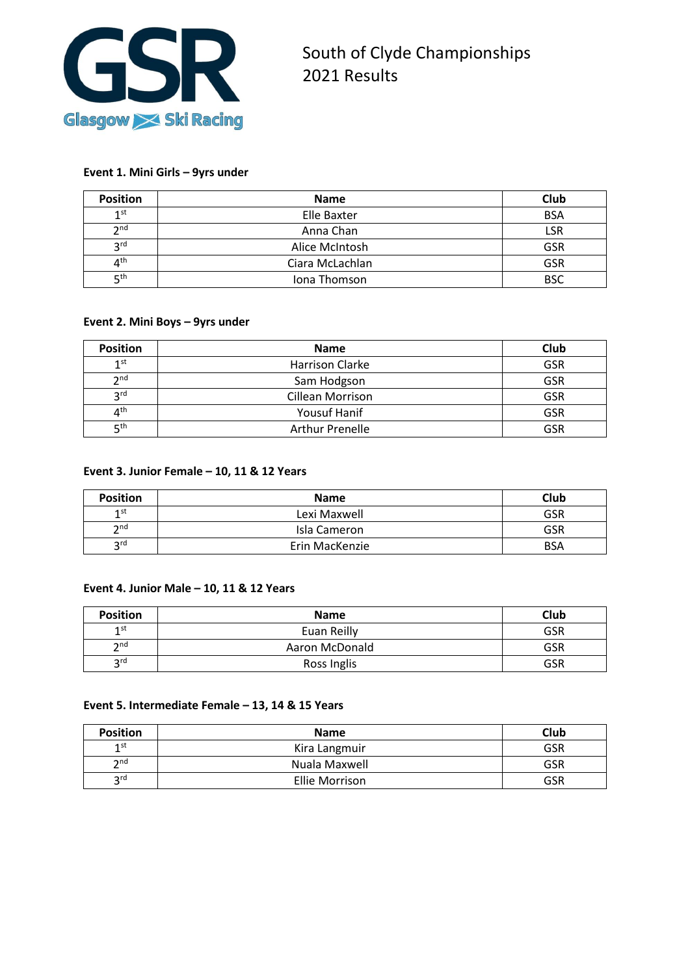

## **Event 1. Mini Girls – 9yrs under**

| <b>Position</b>                                      | <b>Name</b>     | Club       |
|------------------------------------------------------|-----------------|------------|
| $1$ st                                               | Elle Baxter     | <b>BSA</b> |
| $\mathbf{\Omega}$ nd                                 | Anna Chan       | LSR        |
| 2rd                                                  | Alice McIntosh  | <b>GSR</b> |
| $\mathbf{\mathbf{\boldsymbol{\Lambda}}}^{\text{th}}$ | Ciara McLachlan | GSR        |
| ⊑th                                                  | Jona Thomson    | <b>BSC</b> |

## **Event 2. Mini Boys – 9yrs under**

| <b>Position</b>        | <b>Name</b>             | Club       |
|------------------------|-------------------------|------------|
| 1 <sup>st</sup>        | Harrison Clarke         | <b>GSR</b> |
| 2 <sub>nd</sub>        | Sam Hodgson             | <b>GSR</b> |
| <b>R</b> <sup>rd</sup> | <b>Cillean Morrison</b> | <b>GSR</b> |
| $4^{\sf th}$           | Yousuf Hanif            | <b>GSR</b> |
| ς <sup>th</sup>        | <b>Arthur Prenelle</b>  | <b>GSR</b> |

## **Event 3. Junior Female – 10, 11 & 12 Years**

| <b>Position</b>   | <b>Name</b>    | Club       |
|-------------------|----------------|------------|
| 1st               | Lexi Maxwell   | GSR        |
| $\mathbf{\infty}$ | Isla Cameron   | GSR        |
| 2rd               | Erin MacKenzie | <b>BSA</b> |

# **Event 4. Junior Male – 10, 11 & 12 Years**

| <b>Position</b>      | <b>Name</b>    | Club       |
|----------------------|----------------|------------|
| 1st                  | Euan Reilly    | <b>GSR</b> |
| $\mathbf{\infty}$ nd | Aaron McDonald | GSR        |
| <b>2rd</b>           | Ross Inglis    | GSR        |

#### **Event 5. Intermediate Female – 13, 14 & 15 Years**

| <b>Position</b>    | <b>Name</b>    | Club       |
|--------------------|----------------|------------|
| 1st                | Kira Langmuir  | GSR        |
| $\mathsf{\sim}$ nd | Nuala Maxwell  | <b>GSR</b> |
| $\mathsf{C}$ rd    | Ellie Morrison | GSR        |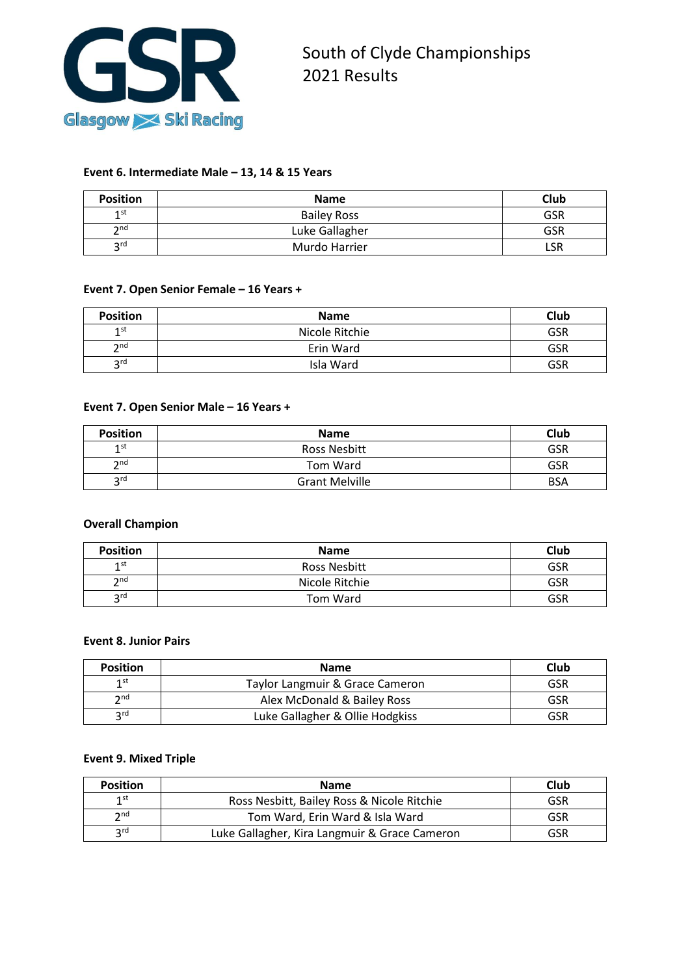

## **Event 6. Intermediate Male – 13, 14 & 15 Years**

| <b>Position</b>    | <b>Name</b>        | Club       |
|--------------------|--------------------|------------|
| 1st                | <b>Bailey Ross</b> | <b>GSR</b> |
| $\mathsf{\sim}$ nd | Luke Gallagher     | GSR        |
| <b>2rd</b>         | Murdo Harrier      | LSR        |

## **Event 7. Open Senior Female – 16 Years +**

| <b>Position</b>            | <b>Name</b>    | Club       |
|----------------------------|----------------|------------|
| 1 <sup>st</sup>            | Nicole Ritchie | <b>GSR</b> |
| $\mathbf{\overline{2}}$ nd | Erin Ward      | <b>GSR</b> |
| 2rd                        | Isla Ward      | <b>GSR</b> |

#### **Event 7. Open Senior Male – 16 Years +**

| <b>Position</b>   | <b>Name</b>           | <b>Club</b> |
|-------------------|-----------------------|-------------|
| 1st               | Ross Nesbitt          | GSR         |
| $\mathbf{\infty}$ | Tom Ward              | <b>GSR</b>  |
| <b>2rd</b>        | <b>Grant Melville</b> | <b>BSA</b>  |

## **Overall Champion**

| <b>Position</b>   | <b>Name</b>    | Club |
|-------------------|----------------|------|
| 1st               | Ross Nesbitt   | GSR  |
| $\mathbf{\infty}$ | Nicole Ritchie | GSR  |
| 2rd               | Tom Ward       | GSR  |

#### **Event 8. Junior Pairs**

| <b>Position</b> | <b>Name</b>                     | Club |
|-----------------|---------------------------------|------|
| 1st             | Taylor Langmuir & Grace Cameron | GSR  |
| $\mathsf{h}$ nd | Alex McDonald & Bailey Ross     | GSR  |
| 2rd             | Luke Gallagher & Ollie Hodgkiss | GSR  |

## **Event 9. Mixed Triple**

| <b>Position</b>   | <b>Name</b>                                   | Club       |
|-------------------|-----------------------------------------------|------------|
| 1st               | Ross Nesbitt, Bailey Ross & Nicole Ritchie    | GSR        |
| $\mathbf{\infty}$ | Tom Ward, Erin Ward & Isla Ward               | GSR        |
| 2rd               | Luke Gallagher, Kira Langmuir & Grace Cameron | <b>GSR</b> |